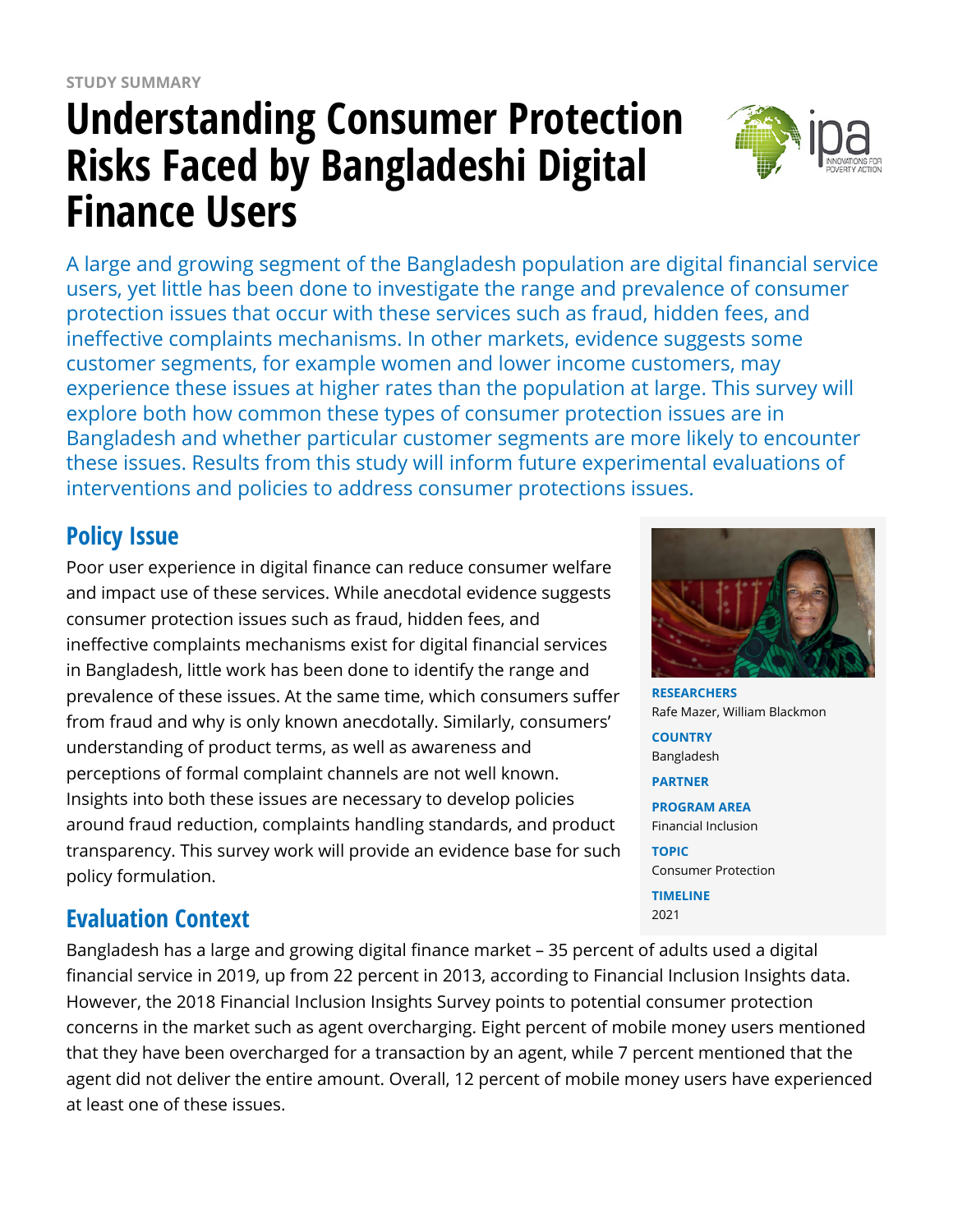# **Understanding Consumer Protection Risks Faced by Bangladeshi Digital Finance Users**



A large and growing segment of the Bangladesh population are digital financial service users, yet little has been done to investigate the range and prevalence of consumer protection issues that occur with these services such as fraud, hidden fees, and ineffective complaints mechanisms. In other markets, evidence suggests some customer segments, for example women and lower income customers, may experience these issues at higher rates than the population at large. This survey will explore both how common these types of consumer protection issues are in Bangladesh and whether particular customer segments are more likely to encounter these issues. Results from this study will inform future experimental evaluations of interventions and policies to address consumer protections issues.

# **Policy Issue**

Poor user experience in digital finance can reduce consumer welfare and impact use of these services. While anecdotal evidence suggests consumer protection issues such as fraud, hidden fees, and ineffective complaints mechanisms exist for digital financial services in Bangladesh, little work has been done to identify the range and prevalence of these issues. At the same time, which consumers suffer from fraud and why is only known anecdotally. Similarly, consumers' understanding of product terms, as well as awareness and perceptions of formal complaint channels are not well known. Insights into both these issues are necessary to develop policies around fraud reduction, complaints handling standards, and product transparency. This survey work will provide an evidence base for such policy formulation.

**RESEARCHERS** Rafe Mazer, William Blackmon **COUNTRY** Bangladesh **PARTNER PROGRAM AREA** Financial Inclusion **TOPIC** Consumer Protection

**TIMELINE** 2021

### **Evaluation Context**

Bangladesh has a large and growing digital finance market – 35 percent of adults used a digital financial service in 2019, up from 22 percent in 2013, according to Financial Inclusion Insights data. However, the 2018 Financial Inclusion Insights Survey points to potential consumer protection concerns in the market such as agent overcharging. Eight percent of mobile money users mentioned that they have been overcharged for a transaction by an agent, while 7 percent mentioned that the agent did not deliver the entire amount. Overall, 12 percent of mobile money users have experienced at least one of these issues.